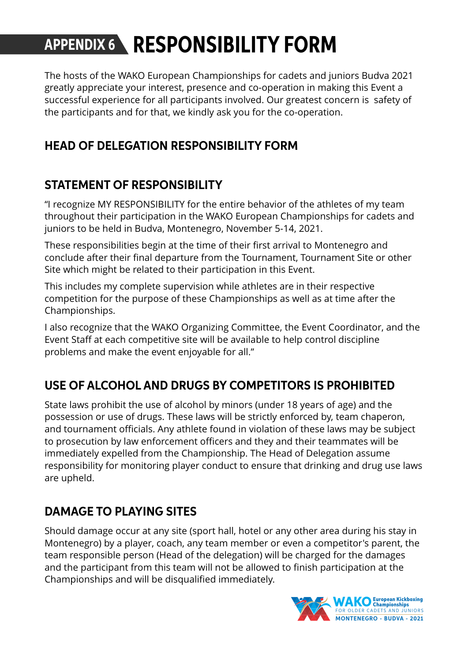# **APPENDIX 6 RESPONSIBILITY FORM**

The hosts of the WAKO European Championships for cadets and juniors Budva 2021 greatly appreciate your interest, presence and co-operation in making this Event a successful experience for all participants involved. Our greatest concern is safety of the participants and for that, we kindly ask you for the co-operation.

## **HEAD OF DELEGATION RESPONSIBILITY FORM**

## **STATEMENT OF RESPONSIBILITY**

"I recognize MY RESPONSIBILITY for the entire behavior of the athletes of my team throughout their participation in the WAKO European Championships for cadets and juniors to be held in Budva, Montenegro, November 5-14, 2021.

These responsibilities begin at the time of their first arrival to Montenegro and conclude after their final departure from the Tournament, Tournament Site or other Site which might be related to their participation in this Event.

This includes my complete supervision while athletes are in their respective competition for the purpose of these Championships as well as at time after the Championships.

I also recognize that the WAKO Organizing Committee, the Event Coordinator, and the Event Staff at each competitive site will be available to help control discipline problems and make the event enjoyable for all."

## **USE OF ALCOHOL AND DRUGS BY COMPETITORS IS PROHIBITED**

State laws prohibit the use of alcohol by minors (under 18 years of age) and the possession or use of drugs. These laws will be strictly enforced by, team chaperon, and tournament officials. Any athlete found in violation of these laws may be subject to prosecution by law enforcement officers and they and their teammates will be immediately expelled from the Championship. The Head of Delegation assume responsibility for monitoring player conduct to ensure that drinking and drug use laws are upheld.

## **DAMAGE TO PLAYING SITES**

Should damage occur at any site (sport hall, hotel or any other area during his stay in Montenegro) by a player, coach, any team member or even a competitor's parent, the team responsible person (Head of the delegation) will be charged for the damages and the participant from this team will not be allowed to finish participation at the Championships and will be disqualified immediately.